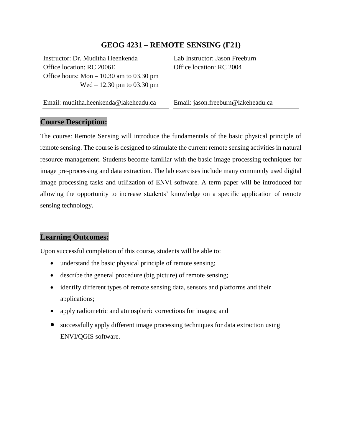#### **GEOG 4231 – REMOTE SENSING (F21)**

Instructor: Dr. Muditha Heenkenda Office location: RC 2006E Office hours: Mon – 10.30 am to 03.30 pm Wed – 12.30 pm to 03.30 pm Lab Instructor: Jason Freeburn Office location: RC 2004

Email: muditha.heenkenda@lakeheadu.ca

Email: jason.freeburn@lakeheadu.ca

#### **Course Description:**

The course: Remote Sensing will introduce the fundamentals of the basic physical principle of remote sensing. The course is designed to stimulate the current remote sensing activities in natural resource management. Students become familiar with the basic image processing techniques for image pre-processing and data extraction. The lab exercises include many commonly used digital image processing tasks and utilization of ENVI software. A term paper will be introduced for allowing the opportunity to increase students' knowledge on a specific application of remote sensing technology.

#### **Learning Outcomes:**

Upon successful completion of this course, students will be able to:

- understand the basic physical principle of remote sensing;
- describe the general procedure (big picture) of remote sensing;
- identify different types of remote sensing data, sensors and platforms and their applications;
- apply radiometric and atmospheric corrections for images; and
- successfully apply different image processing techniques for data extraction using ENVI/QGIS software.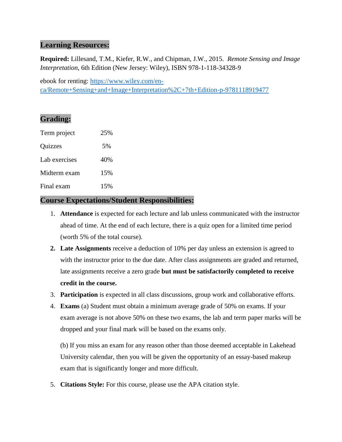## **Learning Resources:**

**Required:** Lillesand, T.M., Kiefer, R.W., and Chipman, J.W., 2015. *Remote Sensing and Image Interpretation*, 6th Edition (New Jersey: Wiley), ISBN 978-1-118-34328-9

ebook for renting: [https://www.wiley.com/en](https://www.wiley.com/en-ca/Remote+Sensing+and+Image+Interpretation%2C+7th+Edition-p-9781118919477)[ca/Remote+Sensing+and+Image+Interpretation%2C+7th+Edition-p-9781118919477](https://www.wiley.com/en-ca/Remote+Sensing+and+Image+Interpretation%2C+7th+Edition-p-9781118919477)

## **Grading:**

| Term project  | 25% |
|---------------|-----|
| Quizzes       | 5%  |
| Lab exercises | 40% |
| Midterm exam  | 15% |
| Final exam    | 15% |

## **Course Expectations/Student Responsibilities:**

- 1. **Attendance** is expected for each lecture and lab unless communicated with the instructor ahead of time. At the end of each lecture, there is a quiz open for a limited time period (worth 5% of the total course).
- **2. Late Assignments** receive a deduction of 10% per day unless an extension is agreed to with the instructor prior to the due date. After class assignments are graded and returned, late assignments receive a zero grade **but must be satisfactorily completed to receive credit in the course.**
- 3. **Participation** is expected in all class discussions, group work and collaborative efforts.
- 4. **Exams** (a) Student must obtain a minimum average grade of 50% on exams. If your exam average is not above 50% on these two exams, the lab and term paper marks will be dropped and your final mark will be based on the exams only.

(b) If you miss an exam for any reason other than those deemed acceptable in Lakehead University calendar, then you will be given the opportunity of an essay-based makeup exam that is significantly longer and more difficult.

5. **Citations Style:** For this course, please use the APA citation style.